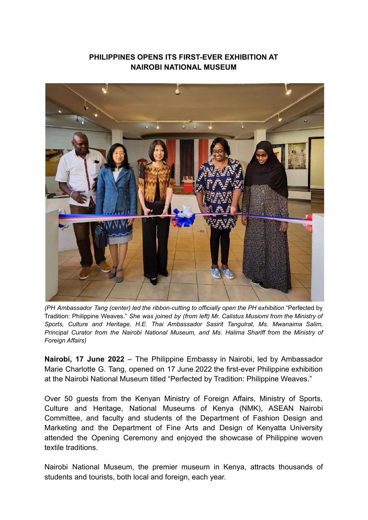## **PHILIPPINES OPENS ITS FIRST-EVER EXHIBITION AT NAIROBI NATIONAL MUSEUM**



*(PH Ambassador Tang (center) led the ribbon-cutting to officially open the PH exhibition* "Perfected by Tradition: Philippine Weaves." *She was joined by (from left) Mr. Calistus Musiomi from the Ministry of Sports, Culture and Heritage, H.E. Thai Ambassador Sasirit Tangulrat, Ms. Mwanaima Salim, Principal Curator from the Nairobi National Museum, and Ms. Halima Shariff from the Ministry of Foreign Affairs)*

**Nairobi, 17 June 2022** – The Philippine Embassy in Nairobi, led by Ambassador Marie Charlotte G. Tang, opened on 17 June 2022 the first-ever Philippine exhibition at the Nairobi National Museum titled "Perfected by Tradition: Philippine Weaves."

Over 50 guests from the Kenyan Ministry of Foreign Affairs, Ministry of Sports, Culture and Heritage, National Museums of Kenya (NMK), ASEAN Nairobi Committee, and faculty and students of the Department of Fashion Design and Marketing and the Department of Fine Arts and Design of Kenyatta University attended the Opening Ceremony and enjoyed the showcase of Philippine woven textile traditions.

Nairobi National Museum, the premier museum in Kenya, attracts thousands of students and tourists, both local and foreign, each year.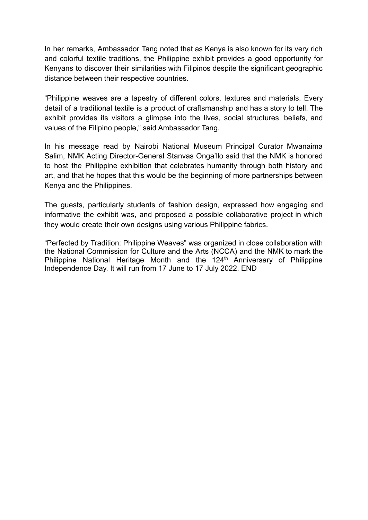In her remarks, Ambassador Tang noted that as Kenya is also known for its very rich and colorful textile traditions, the Philippine exhibit provides a good opportunity for Kenyans to discover their similarities with Filipinos despite the significant geographic distance between their respective countries.

"Philippine weaves are a tapestry of different colors, textures and materials. Every detail of a traditional textile is a product of craftsmanship and has a story to tell. The exhibit provides its visitors a glimpse into the lives, social structures, beliefs, and values of the Filipino people," said Ambassador Tang.

In his message read by Nairobi National Museum Principal Curator Mwanaima Salim, NMK Acting Director-General Stanvas Onga'llo said that the NMK is honored to host the Philippine exhibition that celebrates humanity through both history and art, and that he hopes that this would be the beginning of more partnerships between Kenya and the Philippines.

The guests, particularly students of fashion design, expressed how engaging and informative the exhibit was, and proposed a possible collaborative project in which they would create their own designs using various Philippine fabrics.

"Perfected by Tradition: Philippine Weaves" was organized in close collaboration with the National Commission for Culture and the Arts (NCCA) and the NMK to mark the Philippine National Heritage Month and the 124<sup>th</sup> Anniversary of Philippine Independence Day. It will run from 17 June to 17 July 2022. END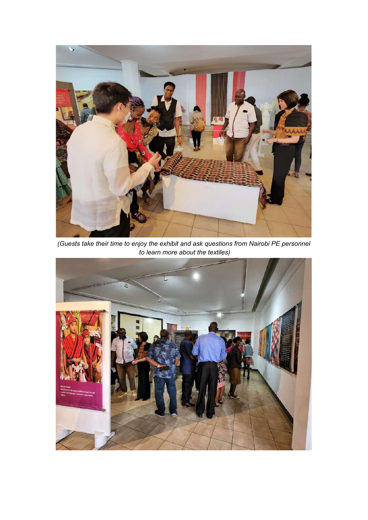

*(Guests take their time to enjoy the exhibit and ask questions from Nairobi PE personnel to learn more about the textiles)*

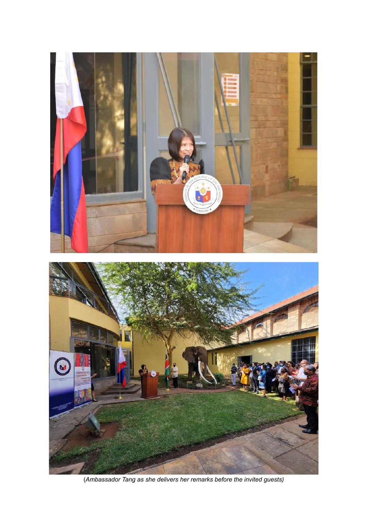

(*Ambassador Tang as she delivers her remarks before the invited guests)*